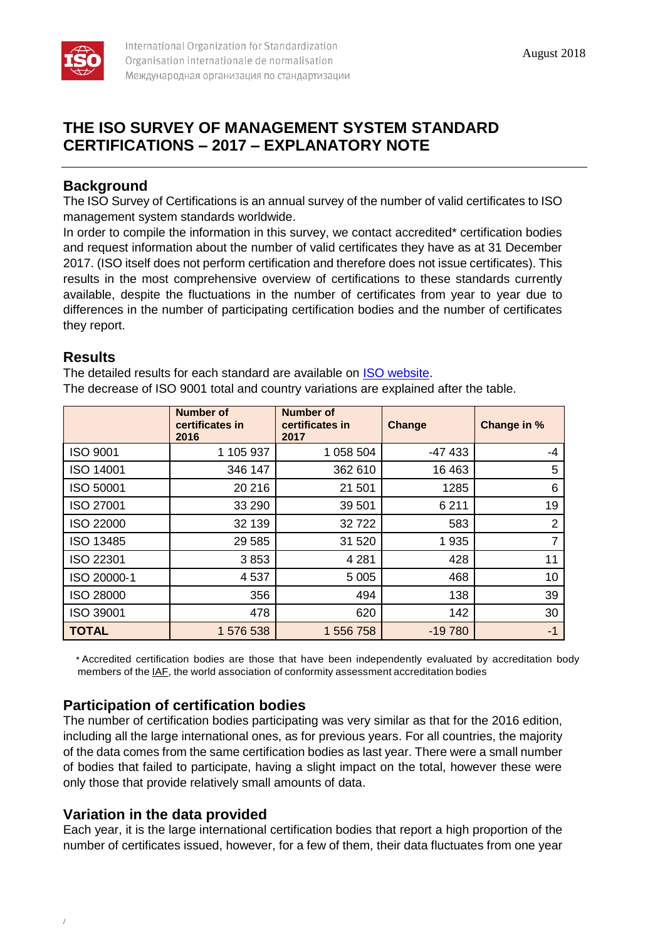

# **THE ISO SURVEY OF MANAGEMENT SYSTEM STANDARD CERTIFICATIONS – 2017 – EXPLANATORY NOTE**

## **Background**

The ISO Survey of Certifications is an annual survey of the number of valid certificates to ISO management system standards worldwide.

In order to compile the information in this survey, we contact accredited\* certification bodies and request information about the number of valid certificates they have as at 31 December 2017. (ISO itself does not perform certification and therefore does not issue certificates). This results in the most comprehensive overview of certifications to these standards currently available, despite the fluctuations in the number of certificates from year to year due to differences in the number of participating certification bodies and the number of certificates they report.

#### **Results**

The detailed results for each standard are available on **ISO** website. The decrease of ISO 9001 total and country variations are explained after the table.

|                  | <b>Number of</b><br>certificates in<br>2016 | <b>Number of</b><br>certificates in<br>2017 | Change   | Change in %    |
|------------------|---------------------------------------------|---------------------------------------------|----------|----------------|
| <b>ISO 9001</b>  | 1 105 937                                   | 1 058 504                                   | $-47433$ | $-4$           |
| ISO 14001        | 346 147                                     | 362 610                                     | 16 4 63  | 5              |
| ISO 50001        | 20 216                                      | 21 501                                      | 1285     | 6              |
| <b>ISO 27001</b> | 33 290                                      | 39 501                                      | 6 2 1 1  | 19             |
| ISO 22000        | 32 139                                      | 32722                                       | 583      | 2              |
| ISO 13485        | 29 5 85                                     | 31 520                                      | 1935     | $\overline{7}$ |
| ISO 22301        | 3853                                        | 4 2 8 1                                     | 428      | 11             |
| ISO 20000-1      | 4537                                        | 5 0 0 5                                     | 468      | 10             |
| <b>ISO 28000</b> | 356                                         | 494                                         | 138      | 39             |
| ISO 39001        | 478                                         | 620                                         | 142      | 30             |
| <b>TOTAL</b>     | 1 576 538                                   | 1 556 758                                   | $-19780$ | $-1$           |

\* Accredited certification bodies are those that have been independently evaluated by accreditation body members of the IAF, the world association of conformity assessment accreditation bodies

## **Participation of certification bodies**

The number of certification bodies participating was very similar as that for the 2016 edition, including all the large international ones, as for previous years. For all countries, the majority of the data comes from the same certification bodies as last year. There were a small number of bodies that failed to participate, having a slight impact on the total, however these were only those that provide relatively small amounts of data.

## **Variation in the data provided**

/

Each year, it is the large international certification bodies that report a high proportion of the number of certificates issued, however, for a few of them, their data fluctuates from one year